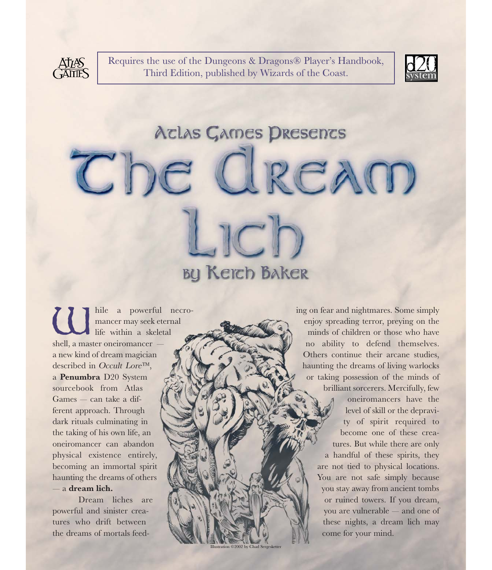

Requires the use of the Dungeons & Dragons® Player's Handbook, Third Edition, published by Wizards of the Coast.



# Aclas Games Dresencs Che Cream JCh **BY Keich Baker**

Iration ©2002 by Chad Sergeskette

 $\begin{tabular}{|c|c|c|c|} \hline \quad & \text{hile} & a & powerful & necro-  
mancer may seek teternal \\ \hline \quad & \text{if } & \text{if } & \text{if } & \text{if } & \text{if } & \text{if } & \text{if } & \text{if } & \text{if } & \text{if } & \text{if } & \text{if } & \text{if } & \text{if } & \text{if } & \text{if } & \text{if } & \text{if } & \text{if } & \text{if } & \text{if } & \text{if } & \text{if } & \text{if } & \text{if } & \text{if } & \text{if } & \text{if } &$ mancer may seek eternal life within a skeletal shell, a master oneiromancer a new kind of dream magician described in Occult Lore™, a **Penumbra** D20 System sourcebook from Atlas Games — can take a different approach. Through dark rituals culminating in the taking of his own life, an oneiromancer can abandon physical existence entirely, becoming an immortal spirit haunting the dreams of others — a **dream lich.**

Dream liches are powerful and sinister creatures who drift between the dreams of mortals feeding on fear and nightmares. Some simply enjoy spreading terror, preying on the minds of children or those who have no ability to defend themselves. Others continue their arcane studies, haunting the dreams of living warlocks or taking possession of the minds of brilliant sorcerers. Mercifully, few oneiromancers have the level of skill or the depravity of spirit required to become one of these creatures. But while there are only a handful of these spirits, they are not tied to physical locations. You are not safe simply because you stay away from ancient tombs or ruined towers. If you dream, you are vulnerable — and one of these nights, a dream lich may come for your mind.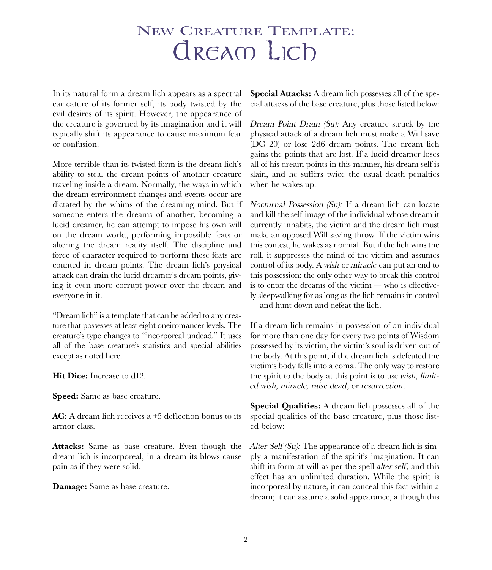## NEW CREATURE TEMPLATE: dream Lich

In its natural form a dream lich appears as a spectral caricature of its former self, its body twisted by the evil desires of its spirit. However, the appearance of the creature is governed by its imagination and it will typically shift its appearance to cause maximum fear or confusion.

More terrible than its twisted form is the dream lich's ability to steal the dream points of another creature traveling inside a dream. Normally, the ways in which the dream environment changes and events occur are dictated by the whims of the dreaming mind. But if someone enters the dreams of another, becoming a lucid dreamer, he can attempt to impose his own will on the dream world, performing impossible feats or altering the dream reality itself. The discipline and force of character required to perform these feats are counted in dream points. The dream lich's physical attack can drain the lucid dreamer's dream points, giving it even more corrupt power over the dream and everyone in it.

"Dream lich" is a template that can be added to any creature that possesses at least eight oneiromancer levels. The creature's type changes to "incorporeal undead." It uses all of the base creature's statistics and special abilities except as noted here.

**Hit Dice:** Increase to d12.

**Speed:** Same as base creature.

**AC:** A dream lich receives a +5 deflection bonus to its armor class.

**Attacks:** Same as base creature. Even though the dream lich is incorporeal, in a dream its blows cause pain as if they were solid.

**Damage:** Same as base creature.

**Special Attacks:** A dream lich possesses all of the special attacks of the base creature, plus those listed below:

Dream Point Drain (Su): Any creature struck by the physical attack of a dream lich must make a Will save (DC 20) or lose 2d6 dream points. The dream lich gains the points that are lost. If a lucid dreamer loses all of his dream points in this manner, his dream self is slain, and he suffers twice the usual death penalties when he wakes up.

Nocturnal Possession (Su): If a dream lich can locate and kill the self-image of the individual whose dream it currently inhabits, the victim and the dream lich must make an opposed Will saving throw. If the victim wins this contest, he wakes as normal. But if the lich wins the roll, it suppresses the mind of the victim and assumes control of its body. A wish or miracle can put an end to this possession; the only other way to break this control is to enter the dreams of the victim — who is effectively sleepwalking for as long as the lich remains in control — and hunt down and defeat the lich.

If a dream lich remains in possession of an individual for more than one day for every two points of Wisdom possessed by its victim, the victim's soul is driven out of the body. At this point, if the dream lich is defeated the victim's body falls into a coma. The only way to restore the spirit to the body at this point is to use wish, limited wish, miracle, raise dead, or resurrection.

**Special Qualities:** A dream lich possesses all of the special qualities of the base creature, plus those listed below:

Alter Self (Su): The appearance of a dream lich is simply a manifestation of the spirit's imagination. It can shift its form at will as per the spell alter self, and this effect has an unlimited duration. While the spirit is incorporeal by nature, it can conceal this fact within a dream; it can assume a solid appearance, although this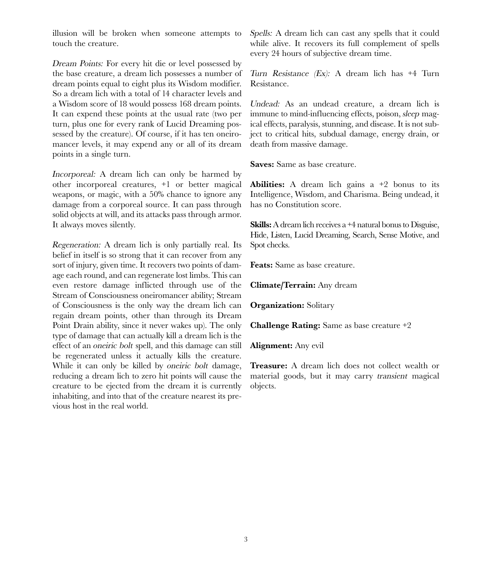illusion will be broken when someone attempts to touch the creature.

Dream Points: For every hit die or level possessed by the base creature, a dream lich possesses a number of dream points equal to eight plus its Wisdom modifier. So a dream lich with a total of 14 character levels and a Wisdom score of 18 would possess 168 dream points. It can expend these points at the usual rate (two per turn, plus one for every rank of Lucid Dreaming possessed by the creature). Of course, if it has ten oneiromancer levels, it may expend any or all of its dream points in a single turn.

Incorporeal: A dream lich can only be harmed by other incorporeal creatures, +1 or better magical weapons, or magic, with a 50% chance to ignore any damage from a corporeal source. It can pass through solid objects at will, and its attacks pass through armor. It always moves silently.

Regeneration: A dream lich is only partially real. Its belief in itself is so strong that it can recover from any sort of injury, given time. It recovers two points of damage each round, and can regenerate lost limbs. This can even restore damage inflicted through use of the Stream of Consciousness oneiromancer ability; Stream of Consciousness is the only way the dream lich can regain dream points, other than through its Dream Point Drain ability, since it never wakes up). The only type of damage that can actually kill a dream lich is the effect of an oneiric bolt spell, and this damage can still be regenerated unless it actually kills the creature. While it can only be killed by *oneiric bolt* damage, reducing a dream lich to zero hit points will cause the creature to be ejected from the dream it is currently inhabiting, and into that of the creature nearest its previous host in the real world.

Spells: A dream lich can cast any spells that it could while alive. It recovers its full complement of spells every 24 hours of subjective dream time.

Turn Resistance (Ex): A dream lich has +4 Turn Resistance.

Undead: As an undead creature, a dream lich is immune to mind-influencing effects, poison, sleep magical effects, paralysis, stunning, and disease. It is not subject to critical hits, subdual damage, energy drain, or death from massive damage.

**Saves:** Same as base creature.

**Abilities:** A dream lich gains a +2 bonus to its Intelligence, Wisdom, and Charisma. Being undead, it has no Constitution score.

**Skills:** A dream lich receives a +4 natural bonus to Disguise, Hide, Listen, Lucid Dreaming, Search, Sense Motive, and Spot checks.

**Feats:** Same as base creature.

**Climate/Terrain:** Any dream

**Organization:** Solitary

**Challenge Rating:** Same as base creature +2

**Alignment:** Any evil

**Treasure:** A dream lich does not collect wealth or material goods, but it may carry transient magical objects.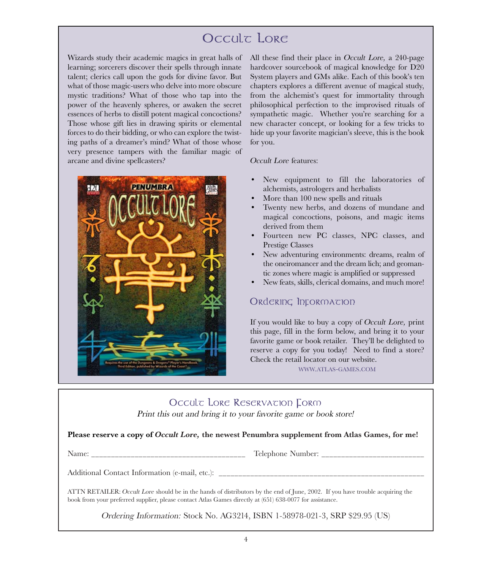### Occult Lore

Wizards study their academic magics in great halls of learning; sorcerers discover their spells through innate talent; clerics call upon the gods for divine favor. But what of those magic-users who delve into more obscure mystic traditions? What of those who tap into the power of the heavenly spheres, or awaken the secret essences of herbs to distill potent magical concoctions? Those whose gift lies in drawing spirits or elemental forces to do their bidding, or who can explore the twisting paths of a dreamer's mind? What of those whose very presence tampers with the familiar magic of arcane and divine spellcasters?



All these find their place in Occult Lore, a 240-page hardcover sourcebook of magical knowledge for D20 System players and GMs alike. Each of this book's ten chapters explores a different avenue of magical study, from the alchemist's quest for immortality through philosophical perfection to the improvised rituals of sympathetic magic. Whether you're searching for a new character concept, or looking for a few tricks to hide up your favorite magician's sleeve, this is the book for you.

#### Occult Lore features:

- New equipment to fill the laboratories of alchemists, astrologers and herbalists
- More than 100 new spells and rituals
- Twenty new herbs, and dozens of mundane and magical concoctions, poisons, and magic items derived from them
- Fourteen new PC classes, NPC classes, and Prestige Classes
- New adventuring environments: dreams, realm of the oneiromancer and the dream lich; and geomantic zones where magic is amplified or suppressed
- New feats, skills, clerical domains, and much more!

#### Ordering Information

If you would like to buy a copy of Occult Lore, print this page, fill in the form below, and bring it to your favorite game or book retailer. They'll be delighted to reserve a copy for you today! Need to find a store? Check the retail locator on our website.

WWW.ATLAS-GAMES.COM

#### Occult Lore Reservation Form

Print this out and bring it to your favorite game or book store!

**Please reserve a copy of Occult Lore, the newest Penumbra supplement from Atlas Games, for me!**

Name: \_\_\_\_\_\_\_\_\_\_\_\_\_\_\_\_\_\_\_\_\_\_\_\_\_\_\_\_\_\_\_\_\_\_\_\_\_\_\_ Telephone Number: \_\_\_\_\_\_\_\_\_\_\_\_\_\_\_\_\_\_\_\_\_\_\_\_\_\_

Additional Contact Information (e-mail, etc.):

ATTN RETAILER: Occult Lore should be in the hands of distributors by the end of June, 2002. If you have trouble acquiring the book from your preferred supplier, please contact Atlas Games directly at (651) 638-0077 for assistance.

Ordering Information: Stock No. AG3214, ISBN 1-58978-021-3, SRP \$29.95 (US)